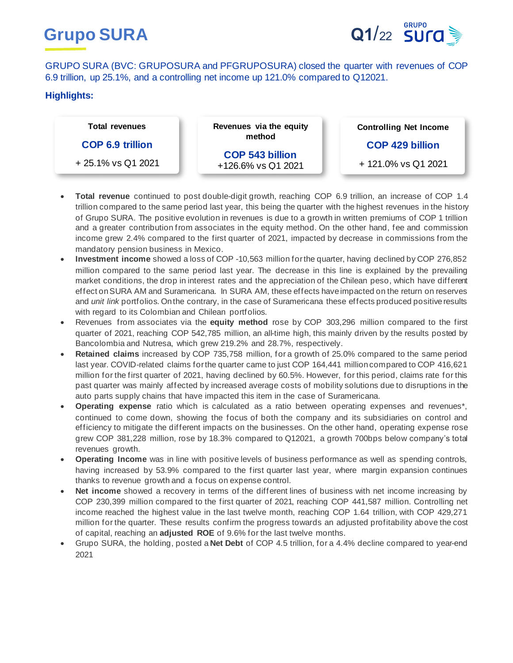



GRUPO SURA (BVC: GRUPOSURA and PFGRUPOSURA) closed the quarter with revenues of COP 6.9 trillion, up 25.1%, and a controlling net income up 121.0% compared to Q12021.

# **Highlights:**

| <b>Total revenues</b>   | Revenues via the equity<br>method            | <b>Controlling Net Income</b> |
|-------------------------|----------------------------------------------|-------------------------------|
| <b>COP 6.9 trillion</b> |                                              | <b>COP 429 billion</b>        |
| + 25.1% vs Q1 2021      | <b>COP 543 billion</b><br>+126.6% vs Q1 2021 | + 121.0% vs Q1 2021           |

- **Total revenue** continued to post double-digit growth, reaching COP 6.9 trillion, an increase of COP 1.4 trillion compared to the same period last year, this being the quarter with the highest revenues in the history of Grupo SURA. The positive evolution in revenues is due to a growth in written premiums of COP 1 trillion and a greater contribution from associates in the equity method. On the other hand, fee and commission income grew 2.4% compared to the first quarter of 2021, impacted by decrease in commissions from the mandatory pension business in Mexico.
- **Investment income** showed a loss of COP -10,563 million for the quarter, having declined by COP 276,852 million compared to the same period last year. The decrease in this line is explained by the prevailing market conditions, the drop in interest rates and the appreciation of the Chilean peso, which have different effect on SURA AM and Suramericana. In SURA AM, these effects have impacted on the return on reserves and *unit link* portfolios. On the contrary, in the case of Suramericana these effects produced positive results with regard to its Colombian and Chilean portfolios.
- Revenues from associates via the **equity method** rose by COP 303,296 million compared to the first quarter of 2021, reaching COP 542,785 million, an all-time high, this mainly driven by the results posted by Bancolombia and Nutresa, which grew 219.2% and 28.7%, respectively.
- **Retained claims** increased by COP 735,758 million, for a growth of 25.0% compared to the same period last year. COVID-related claims for the quarter came to just COP 164,441 million compared to COP 416,621 million for the first quarter of 2021, having declined by 60.5%. However, for this period, claims rate for this past quarter was mainly affected by increased average costs of mobility solutions due to disruptions in the auto parts supply chains that have impacted this item in the case of Suramericana.
- **Operating expense** ratio which is calculated as a ratio between operating expenses and revenues\*, continued to come down, showing the focus of both the company and its subsidiaries on control and efficiency to mitigate the different impacts on the businesses. On the other hand, operating expense rose grew COP 381,228 million, rose by 18.3% compared to Q12021, a growth 700bps below company's total revenues growth.
- **Operating Income** was in line with positive levels of business performance as well as spending controls, having increased by 53.9% compared to the first quarter last year, where margin expansion continues thanks to revenue growth and a focus on expense control.
- **Net income** showed a recovery in terms of the different lines of business with net income increasing by COP 230,399 million compared to the first quarter of 2021, reaching COP 441,587 million. Controlling net income reached the highest value in the last twelve month, reaching COP 1.64 trillion, with COP 429,271 million for the quarter. These results confirm the progress towards an adjusted profitability above the cost of capital, reaching an **adjusted ROE** of 9.6% for the last twelve months.
- Grupo SURA, the holding, posted a **Net Debt** of COP 4.5 trillion, for a 4.4% decline compared to year-end 2021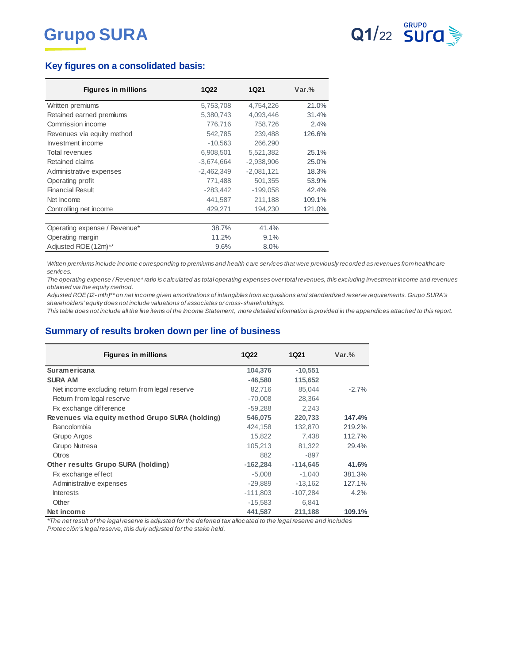

# **Key figures on a consolidated basis:**

| <b>Figures in millions</b>   | <b>1Q22</b>  | <b>1Q21</b>  | $Var.$ % |
|------------------------------|--------------|--------------|----------|
| Written premiums             | 5,753,708    | 4,754,226    | 21.0%    |
| Retained earned premiums     | 5,380,743    | 4.093.446    | 31.4%    |
| Commission income            | 776,716      | 758,726      | 2.4%     |
| Revenues via equity method   | 542,785      | 239,488      | 126.6%   |
| Investment income            | $-10,563$    | 266,290      |          |
| <b>Total revenues</b>        | 6,908,501    | 5,521,382    | 25.1%    |
| Retained claims              | $-3.674.664$ | $-2.938.906$ | 25.0%    |
| Administrative expenses      | $-2,462,349$ | $-2,081,121$ | 18.3%    |
| Operating profit             | 771,488      | 501,355      | 53.9%    |
| <b>Financial Result</b>      | $-283,442$   | $-199,058$   | 42.4%    |
| Net Income                   | 441,587      | 211,188      | 109.1%   |
| Controlling net income       | 429,271      | 194,230      | 121.0%   |
|                              |              |              |          |
| Operating expense / Revenue* | 38.7%        | 41.4%        |          |
| Operating margin             | 11.2%        | 9.1%         |          |
| Adjusted ROE (12m)**         | 9.6%         | 8.0%         |          |

Written premiums include income corresponding to premiums and health care services that were previously recorded as revenues from healthcare *services.*

*The operating expense / Revenue\* ratio is calculated as total operating expenses over total revenues, this excluding investment income and revenues obtained via the equity method. Written premiums include income corresponding to premiums and health care services that were previously recorded as revenues from healthcare*<br>services.<br>The operating expense / Revenue\* ratio is calculated as total operati *services.*<br>The operating expense / Revenue\* ratio is calculated as total operating expenses over t<br>obtained via the equity method.<br>Adjusted ROE (12- mth)\*\* on net income given amortizations of intangibles from acquisitis<br>

*This table does not include all the line items of the Income Statement, more detailed information is provided in the appendices attached to this report.*

### **Summary of results broken down per line of business**

| <b>Figures in millions</b>                      | 1Q22       | <b>1Q21</b> | $Var.$ % |
|-------------------------------------------------|------------|-------------|----------|
| <b>Suramericana</b>                             | 104,376    | $-10,551$   |          |
| <b>SURA AM</b>                                  | $-46.580$  | 115,652     |          |
| Net income excluding return from legal reserve  | 82,716     | 85.044      | $-2.7%$  |
| Return from legal reserve                       | $-70,008$  | 28,364      |          |
| Fx exchange difference                          | $-59.288$  | 2.243       |          |
| Revenues via equity method Grupo SURA (holding) | 546,075    | 220,733     | 147.4%   |
| Bancolombia                                     | 424,158    | 132,870     | 219.2%   |
| Grupo Argos                                     | 15.822     | 7.438       | 112.7%   |
| Grupo Nutresa                                   | 105,213    | 81,322      | 29.4%    |
| <b>Otros</b>                                    | 882        | -897        |          |
| Other results Grupo SURA (holding)              | $-162,284$ | $-114.645$  | 41.6%    |
| Fx exchange effect                              | $-5.008$   | $-1.040$    | 381.3%   |
| Administrative expenses                         | $-29,889$  | $-13,162$   | 127.1%   |
| <b>Interests</b>                                | $-111.803$ | $-107.284$  | 4.2%     |
| Other                                           | $-15,583$  | 6,841       |          |
| Net income                                      | 441,587    | 211,188     | 109.1%   |

*\*The net result of the legal reserve is adjusted for the deferred tax allocated to the legal reserve and includes Protección's legal reserve, this duly adjusted for the stake held.*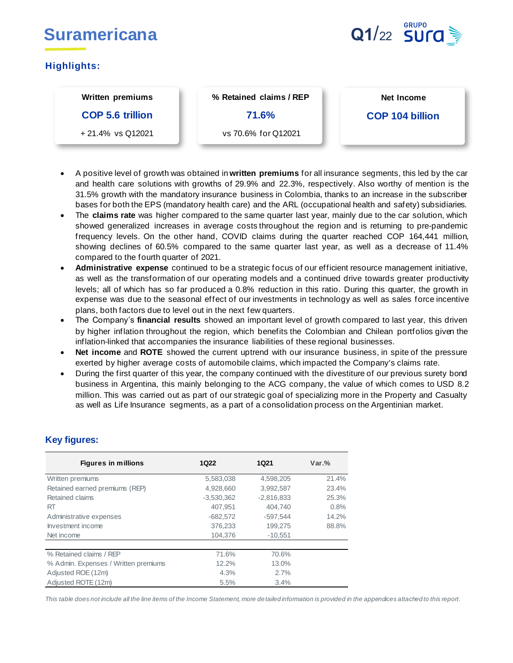

# **Highlights:**

# **Written premiums COP 5.6 trillion** + 21.4% vs Q12021

**% Retained claims / REP 71.6%** 

vs 70.6% for Q12021

**Net Income**

# **COP 104 billion**

- A positive level of growth was obtained in **written premiums** for all insurance segments, this led by the car and health care solutions with growths of 29.9% and 22.3%, respectively. Also worthy of mention is the 31.5% growth with the mandatory insurance business in Colombia, thanks to an increase in the subscriber bases for both the EPS (mandatory health care) and the ARL (occupational health and safety) subsidiaries.
- The **claims rate** was higher compared to the same quarter last year, mainly due to the car solution, which showed generalized increases in average costs throughout the region and is returning to pre-pandemic frequency levels. On the other hand, COVID claims during the quarter reached COP 164,441 million, showing declines of 60.5% compared to the same quarter last year, as well as a decrease of 11.4% compared to the fourth quarter of 2021.
- **Administrative expense** continued to be a strategic focus of our efficient resource management initiative, as well as the transformation of our operating models and a continued drive towards greater productivity levels; all of which has so far produced a 0.8% reduction in this ratio. During this quarter, the growth in expense was due to the seasonal effect of our investments in technology as well as sales force incentive plans, both factors due to level out in the next few quarters.
- The Company's **financial results** showed an important level of growth compared to last year, this driven by higher inflation throughout the region, which benefits the Colombian and Chilean portfolios given the inflation-linked that accompanies the insurance liabilities of these regional businesses.
- **Net income** and **ROTE** showed the current uptrend with our insurance business, in spite of the pressure exerted by higher average costs of automobile claims, which impacted the Company's claims rate.
- During the first quarter of this year, the company continued with the divestiture of our previous surety bond business in Argentina, this mainly belonging to the ACG company, the value of which comes to USD 8.2 million. This was carried out as part of our strategic goal of specializing more in the Property and Casualty as well as Life Insurance segments, as a part of a consolidation process on the Argentinian market.

# **Key figures:**

| <b>Figures in millions</b>           | <b>1Q22</b>  | <b>1Q21</b>  | $Var.$ % |
|--------------------------------------|--------------|--------------|----------|
| Written premiums                     | 5,583,038    | 4,598,205    | 21.4%    |
| Retained earned premiums (REP)       | 4,928,660    | 3,992,587    | 23.4%    |
| Retained claims                      | $-3,530,362$ | $-2,816,833$ | 25.3%    |
| <b>RT</b>                            | 407.951      | 404.740      | 0.8%     |
| Administrative expenses              | $-682,572$   | $-597.544$   | 14.2%    |
| Investment income                    | 376.233      | 199,275      | 88.8%    |
| Net income                           | 104,376      | $-10,551$    |          |
|                                      |              |              |          |
| % Retained claims / REP              | 71.6%        | 70.6%        |          |
| % Admin. Expenses / Written premiums | 12.2%        | 13.0%        |          |
| Adjusted ROE (12m)                   | 4.3%         | 2.7%         |          |
| Adjusted ROTE (12m)                  | 5.5%         | 3.4%         |          |

*This table does not include all the line items of the Income Statement, more detailed information is provided in the appendices attached to this report.*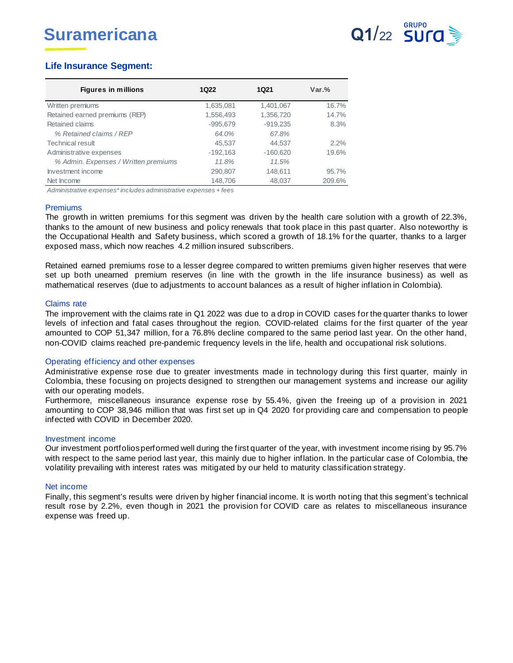

# **Life Insurance Segment:**

| <b>Figures in millions</b>           | 1Q22       | 1Q21       | $Var.$ % |
|--------------------------------------|------------|------------|----------|
| Written premiums                     | 1,635,081  | 1,401,067  | 16.7%    |
| Retained earned premiums (REP)       | 1,556,493  | 1,356,720  | 14.7%    |
| Retained claims                      | $-995.679$ | $-919.235$ | 8.3%     |
| % Retained claims / REP              | 64.0%      | 67.8%      |          |
| Technical result                     | 45,537     | 44,537     | 2.2%     |
| Administrative expenses              | $-192,163$ | $-160,620$ | 19.6%    |
| % Admin. Expenses / Written premiums | 11.8%      | 11.5%      |          |
| Investment income                    | 290,807    | 148,611    | 95.7%    |
| Net Income                           | 148,706    | 48,037     | 209.6%   |
|                                      |            |            |          |

*Administrative expenses\* includes administrative expenses + fees*

#### Premiums

The growth in written premiums for this segment was driven by the health care solution with a growth of 22.3%, thanks to the amount of new business and policy renewals that took place in this past quarter. Also noteworthy is the Occupational Health and Safety business, which scored a growth of 18.1% for the quarter, thanks to a larger exposed mass, which now reaches 4.2 million insured subscribers.

Retained earned premiums rose to a lesser degree compared to written premiums given higher reserves that were set up both unearned premium reserves (in line with the growth in the life insurance business) as well as mathematical reserves (due to adjustments to account balances as a result of higher inflation in Colombia).

### Claims rate

The improvement with the claims rate in Q1 2022 was due to a drop in COVID cases for the quarter thanks to lower levels of infection and fatal cases throughout the region. COVID-related claims for the first quarter of the year amounted to COP 51,347 million, for a 76.8% decline compared to the same period last year. On the other hand, non-COVID claims reached pre-pandemic frequency levels in the life, health and occupational risk solutions.

#### Operating efficiency and other expenses

Administrative expense rose due to greater investments made in technology during this first quarter, mainly in Colombia, these focusing on projects designed to strengthen our management systems and increase our agility with our operating models.

Furthermore, miscellaneous insurance expense rose by 55.4%, given the freeing up of a provision in 2021 amounting to COP 38,946 million that was first set up in Q4 2020 for providing care and compensation to people infected with COVID in December 2020.

#### Investment income

Our investment portfolios performed well during the first quarter of the year, with investment income rising by 95.7% with respect to the same period last year, this mainly due to higher inflation. In the particular case of Colombia, the volatility prevailing with interest rates was mitigated by our held to maturity classification strategy.

#### Net income

Finally, this segment's results were driven by higher financial income. It is worth noting that this segment's technical result rose by 2.2%, even though in 2021 the provision for COVID care as relates to miscellaneous insurance expense was freed up.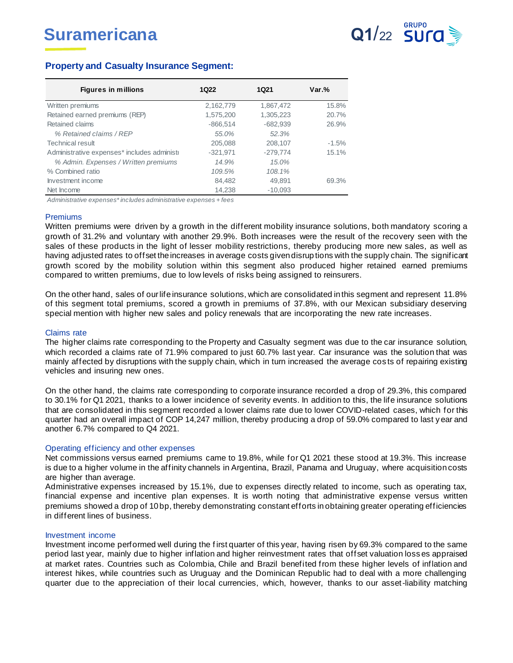

## **Property and Casualty Insurance Segment:**

| <b>Figures in millions</b>                  | 1Q22       | 1Q21       | $Var.$ % |
|---------------------------------------------|------------|------------|----------|
| Written premiums                            | 2,162,779  | 1,867,472  | 15.8%    |
| Retained earned premiums (REP)              | 1,575,200  | 1,305,223  | 20.7%    |
| Retained claims                             | $-866.514$ | $-682.939$ | 26.9%    |
| % Retained claims / REP                     | 55.0%      | 52.3%      |          |
| Technical result                            | 205.088    | 208,107    | $-1.5\%$ |
| Administrative expenses* includes administr | $-321,971$ | $-279.774$ | 15.1%    |
| % Admin. Expenses / Written premiums        | 14.9%      | 15.0%      |          |
| % Combined ratio                            | 109.5%     | 108.1%     |          |
| Investment income                           | 84.482     | 49.891     | 69.3%    |
| Net Income                                  | 14,238     | $-10.093$  |          |

*Administrative expenses\* includes administrative expenses + fees*

#### Premiums

Written premiums were driven by a growth in the different mobility insurance solutions, both mandatory scoring a growth of 31.2% and voluntary with another 29.9%. Both increases were the result of the recovery seen with the sales of these products in the light of lesser mobility restrictions, thereby producing more new sales, as well as having adjusted rates to offset the increases in average costs given disrup tions with the supply chain. The significant growth scored by the mobility solution within this segment also produced higher retained earned premiums compared to written premiums, due to low levels of risks being assigned to reinsurers.

On the other hand, sales of our life insurance solutions, which are consolidated in this segment and represent 11.8% of this segment total premiums, scored a growth in premiums of 37.8%, with our Mexican subsidiary deserving special mention with higher new sales and policy renewals that are incorporating the new rate increases.

#### Claims rate

The higher claims rate corresponding to the Property and Casualty segment was due to the car insurance solution, which recorded a claims rate of 71.9% compared to just 60.7% last year. Car insurance was the solution that was mainly affected by disruptions with the supply chain, which in turn increased the average cos ts of repairing existing vehicles and insuring new ones.

On the other hand, the claims rate corresponding to corporate insurance recorded a drop of 29.3%, this compared to 30.1% for Q1 2021, thanks to a lower incidence of severity events. In addition to this, the life insurance solutions that are consolidated in this segment recorded a lower claims rate due to lower COVID-related cases, which for this quarter had an overall impact of COP 14,247 million, thereby producing a drop of 59.0% compared to last y ear and another 6.7% compared to Q4 2021.

#### Operating efficiency and other expenses

Net commissions versus earned premiums came to 19.8%, while for Q1 2021 these stood at 19.3%. This increase is due to a higher volume in the affinity channels in Argentina, Brazil, Panama and Uruguay, where acquisition costs are higher than average.

Administrative expenses increased by 15.1%, due to expenses directly related to income, such as operating tax, financial expense and incentive plan expenses. It is worth noting that administrative expense versus written premiums showed a drop of 10 bp, thereby demonstrating constant efforts in obtaining greater operating efficiencies in different lines of business.

#### Investment income

Investment income performed well during the f irst quarter of this year, having risen by 69.3% compared to the same period last year, mainly due to higher inflation and higher reinvestment rates that offset valuation loss es appraised at market rates. Countries such as Colombia, Chile and Brazil benefited from these higher levels of inflation and interest hikes, while countries such as Uruguay and the Dominican Republic had to deal with a more challenging quarter due to the appreciation of their local currencies, which, however, thanks to our asset-liability matching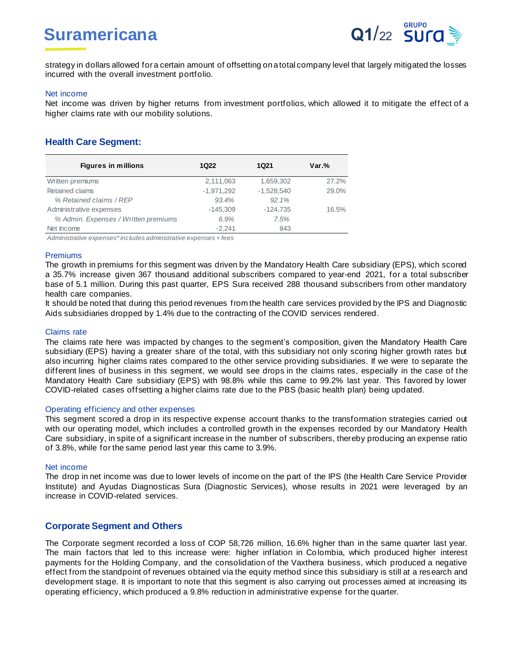# **Suramericana Q1/22 SUrg**



strategy in dollars allowed for a certain amount of offsetting on a total company level that largely mitigated the losses incurred with the overall investment portfolio.

#### Net income

Net income was driven by higher returns from investment portfolios, which allowed it to mitigate the effect of a higher claims rate with our mobility solutions.

## **Health Care Segment:**

| <b>Figures in millions</b>           | 1Q22         | 1Q21         | $Var.$ % |
|--------------------------------------|--------------|--------------|----------|
| Written premiums                     | 2,111,063    | 1,659,302    | 27.2%    |
| Retained claims                      | $-1,971,292$ | $-1,528,540$ | 29.0%    |
| % Retained claims / REP              | 93.4%        | 92.1%        |          |
| Administrative expenses              | $-145.309$   | $-124,735$   | 16.5%    |
| % Admin. Expenses / Written premiums | 6.9%         | 7.5%         |          |
| Net Income                           | $-2.241$     | 843          |          |

*Administrative expenses\* includes administrative expenses + fees*

### Premiums

The growth in premiums for this segment was driven by the Mandatory Health Care subsidiary (EPS), which scored a 35.7% increase given 367 thousand additional subscribers compared to year-end 2021, for a total subscriber base of 5.1 million. During this past quarter, EPS Sura received 288 thousand subscribers from other mandatory health care companies.

It should be noted that during this period revenues from the health care services provided by the IPS and Diagnostic Aids subsidiaries dropped by 1.4% due to the contracting of the COVID services rendered.

#### Claims rate

The claims rate here was impacted by changes to the segment's composition, given the Mandatory Health Care subsidiary (EPS) having a greater share of the total, with this subsidiary not only scoring higher growth rates but also incurring higher claims rates compared to the other service providing subsidiaries. If we were to separate the different lines of business in this segment, we would see drops in the claims rates, especially in the case of the Mandatory Health Care subsidiary (EPS) with 98.8% while this came to 99.2% last year. This favored by lower COVID-related cases offsetting a higher claims rate due to the PBS (basic health plan) being updated.

### Operating efficiency and other expenses

This segment scored a drop in its respective expense account thanks to the transformation strategies carried out with our operating model, which includes a controlled growth in the expenses recorded by our Mandatory Health Care subsidiary, in spite of a significant increase in the number of subscribers, thereby producing an expense ratio of 3.8%, while for the same period last year this came to 3.9%.

#### Net income

The drop in net income was due to lower levels of income on the part of the IPS (the Health Care Service Provider Institute) and Ayudas Diagnosticas Sura (Diagnostic Services), whose results in 2021 were leveraged by an increase in COVID-related services.

### **Corporate Segment and Others**

The Corporate segment recorded a loss of COP 58,726 million, 16.6% higher than in the same quarter last year. The main factors that led to this increase were: higher inflation in Colombia, which produced higher interest payments for the Holding Company, and the consolidation of the Vaxthera business, which produced a negative effect from the standpoint of revenues obtained via the equity method since this subsidiary is still at a research and development stage. It is important to note that this segment is also carrying out processes aimed at increasing its operating efficiency, which produced a 9.8% reduction in administrative expense for the quarter.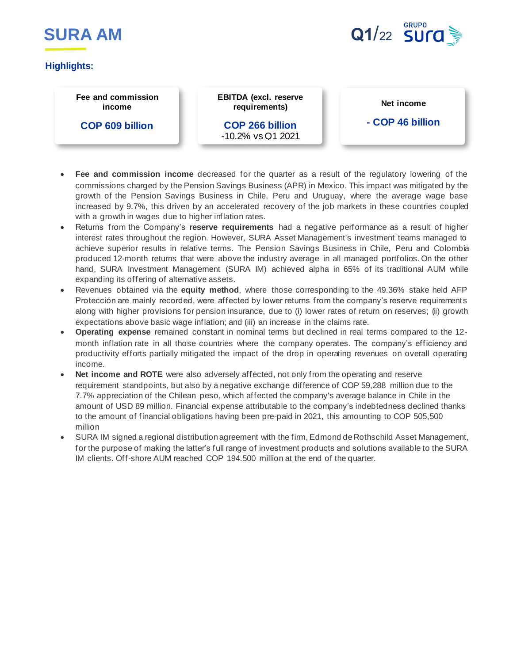



# **Highlights:**

#### **Fee and commission income**

**COP 609 billion**

-6.3% vs Q1 2021

**EBITDA (excl. reserve requirements)**

**COP 266 billion** -10.2% vs Q1 2021 **Net income**

### **- COP 46 billion**

- **Fee and commission income** decreased for the quarter as a result of the regulatory lowering of the commissions charged by the Pension Savings Business (APR) in Mexico. This impact was mitigated by the growth of the Pension Savings Business in Chile, Peru and Uruguay, where the average wage base increased by 9.7%, this driven by an accelerated recovery of the job markets in these countries coupled with a growth in wages due to higher inflation rates.
- Returns from the Company's **reserve requirements** had a negative performance as a result of higher interest rates throughout the region. However, SURA Asset Management's investment teams managed to achieve superior results in relative terms. The Pension Savings Business in Chile, Peru and Colombia produced 12-month returns that were above the industry average in all managed portfolios. On the other hand, SURA Investment Management (SURA IM) achieved alpha in 65% of its traditional AUM while expanding its offering of alternative assets.
- Revenues obtained via the **equity method**, where those corresponding to the 49.36% stake held AFP Protección are mainly recorded, were affected by lower returns from the company's reserve requirements along with higher provisions for pension insurance, due to (i) lower rates of return on reserves; (ii) growth expectations above basic wage inflation; and (iii) an increase in the claims rate.
- **Operating expense** remained constant in nominal terms but declined in real terms compared to the 12 month inflation rate in all those countries where the company operates. The company's efficiency and productivity efforts partially mitigated the impact of the drop in operating revenues on overall operating income.
- **Net income and ROTE** were also adversely affected, not only from the operating and reserve requirement standpoints, but also by a negative exchange difference of COP 59,288 million due to the 7.7% appreciation of the Chilean peso, which affected the company's average balance in Chile in the amount of USD 89 million. Financial expense attributable to the company's indebtedness declined thanks to the amount of financial obligations having been pre-paid in 2021, this amounting to COP 505,500 million
- SURA IM signed a regional distribution agreement with the firm, Edmond de Rothschild Asset Management, for the purpose of making the latter's full range of investment products and solutions available to the SURA IM clients. Off-shore AUM reached COP 194.500 million at the end of the quarter.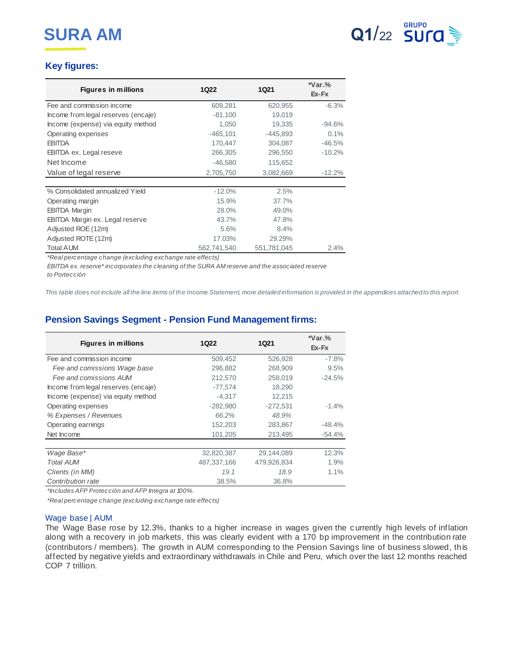

# **Key figures:**

| <b>Figures in millions</b>          | <b>1Q22</b> | <b>1Q21</b> | $*Var.$ %<br>Ex-Fx |
|-------------------------------------|-------------|-------------|--------------------|
| Fee and commission income           | 609,281     | 620,955     | $-6.3%$            |
| Income from legal reserves (encaje) | $-81,100$   | 19,019      |                    |
| Income (expense) via equity method  | 1,050       | 19,335      | $-94.6%$           |
| Operating expenses                  | $-465,101$  | $-445,893$  | 0.1%               |
| <b>EBITDA</b>                       | 170,447     | 304,087     | $-46.5%$           |
| <b>EBITDA ex. Legal reseve</b>      | 266,305     | 296,550     | $-10.2%$           |
| Net Income                          | $-46,580$   | 115,652     |                    |
| Value of legal reserve              | 2,705,750   | 3,082,669   | $-12.2\%$          |
|                                     |             |             |                    |
| % Consolidated annualized Yield     | $-12.0%$    | 2.5%        |                    |
| Operating margin                    | 15.9%       | 37.7%       |                    |
| <b>EBITDA Margin</b>                | 28.0%       | 49.0%       |                    |
| EBITDA Margin ex. Legal reserve     | 43.7%       | 47.8%       |                    |
| Adjusted ROE (12m)                  | 5.6%        | 8.4%        |                    |
| Adjusted ROTE (12m)                 | 17.03%      | 29.29%      |                    |
| Total AUM                           | 562,741,540 | 551,781,045 | 2.4%               |

*\*Real percentage change (excluding exchange rate effects)*

*EBITDA ex. reserve\* incorporates the cleaning of the SURA AM reserve and the associated reserve to Portección* 

*This table does not include all the line items of the Income Statement, more detailed information is provided in the appendices attached to this report.*

# **Pension Savings Segment - Pension Fund Management firms:**

| <b>Figures in millions</b>          | <b>1Q22</b> | <b>1Q21</b> | $*Var.$ %<br>Ex-Fx |
|-------------------------------------|-------------|-------------|--------------------|
| Fee and commission income           | 509,452     | 526,928     | $-7.8%$            |
| Fee and comissions Wage base        | 296,882     | 268,909     | 9.5%               |
| Fee and comissions AUM              | 212,570     | 258,019     | $-24.5%$           |
| Income from legal reserves (encaje) | $-77,574$   | 18,290      |                    |
| Income (expense) via equity method  | $-4,317$    | 12,215      |                    |
| Operating expenses                  | $-282,980$  | $-272,531$  | $-1.4%$            |
| % Expenses / Revenues               | 66.2%       | 48.9%       |                    |
| Operating earnings                  | 152,203     | 283,867     | $-48.4%$           |
| Net Income                          | 101,205     | 213,495     | $-54.4%$           |
|                                     |             |             |                    |
| Wage Base*                          | 32,820,387  | 29,144,089  | 12.3%              |
| <b>Total AUM</b>                    | 487,337,166 | 479,926,834 | 1.9%               |
| Clients (in MM)                     | 19.1        | 18.9        | 1.1%               |
| Contribution rate                   | 38.5%       | 36.8%       |                    |

*\*Includes AFP Protección and AFP Integra at 100%.*

*\*Real percentage change (excluding exchange rate effects)*

#### Wage base | AUM

The Wage Base rose by 12.3%, thanks to a higher increase in wages given the currently high levels of inflation along with a recovery in job markets, this was clearly evident with a 170 bp improvement in the contribution rate (contributors / members). The growth in AUM corresponding to the Pension Savings line of business slowed, this affected by negative yields and extraordinary withdrawals in Chile and Peru, which over the last 12 months reached COP 7 trillion.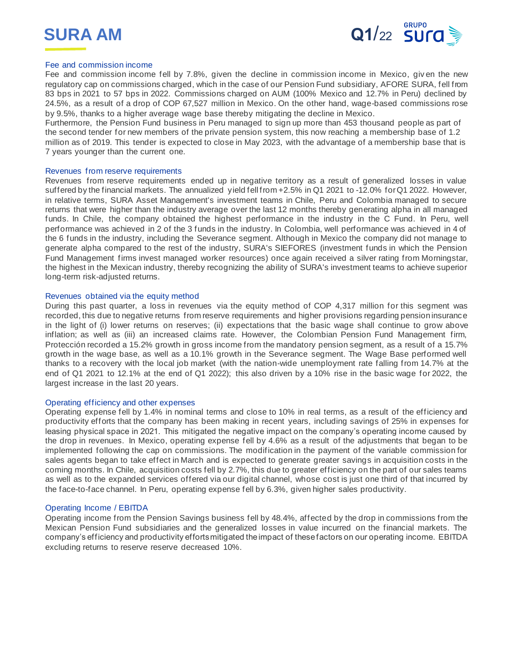



#### Fee and commission income

Fee and commission income fell by 7.8%, given the decline in commission income in Mexico, giv en the new regulatory cap on commissions charged, which in the case of our Pension Fund subsidiary, AFORE SURA, fell from 83 bps in 2021 to 57 bps in 2022. Commissions charged on AUM (100% Mexico and 12.7% in Peru) declined by 24.5%, as a result of a drop of COP 67,527 million in Mexico. On the other hand, wage-based commissions rose by 9.5%, thanks to a higher average wage base thereby mitigating the decline in Mexico.

Furthermore, the Pension Fund business in Peru managed to sign up more than 453 thousand people as part of the second tender for new members of the private pension system, this now reaching a membership base of 1.2 million as of 2019. This tender is expected to close in May 2023, with the advantage of a membership base that is 7 years younger than the current one.

#### Revenues from reserve requirements

Revenues from reserve requirements ended up in negative territory as a result of generalized losses in value suffered by the financial markets. The annualized yield fell from +2.5% in Q1 2021 to -12.0% for Q1 2022. However, in relative terms, SURA Asset Management's investment teams in Chile, Peru and Colombia managed to secure returns that were higher than the industry average over the last 12 months thereby generating alpha in all managed funds. In Chile, the company obtained the highest performance in the industry in the C Fund. In Peru, well performance was achieved in 2 of the 3 funds in the industry. In Colombia, well performance was achieved in 4 of the 6 funds in the industry, including the Severance segment. Although in Mexico the company did not manage to generate alpha compared to the rest of the industry, SURA's SIEFORES (investment funds in which the Pension Fund Management firms invest managed worker resources) once again received a silver rating from Morningstar, the highest in the Mexican industry, thereby recognizing the ability of SURA's investment teams to achieve superior long-term risk-adjusted returns.

#### Revenues obtained via the equity method

During this past quarter, a loss in revenues via the equity method of COP 4,317 million for this segment was recorded, this due to negative returns from reserve requirements and higher provisions regarding pension insurance in the light of (i) lower returns on reserves; (ii) expectations that the basic wage shall continue to grow above inflation; as well as (iii) an increased claims rate. However, the Colombian Pension Fund Management firm, Protección recorded a 15.2% growth in gross income from the mandatory pension segment, as a result of a 15.7% growth in the wage base, as well as a 10.1% growth in the Severance segment. The Wage Base performed well thanks to a recovery with the local job market (with the nation-wide unemployment rate falling from 14.7% at the end of Q1 2021 to 12.1% at the end of Q1 2022); this also driven by a 10% rise in the basic wage for 2022, the largest increase in the last 20 years.

#### Operating efficiency and other expenses

Operating expense fell by 1.4% in nominal terms and close to 10% in real terms, as a result of the efficiency and productivity efforts that the company has been making in recent years, including savings of 25% in expenses for leasing physical space in 2021. This mitigated the negative impact on the company's operating income caused by the drop in revenues. In Mexico, operating expense fell by 4.6% as a result of the adjustments that began to be implemented following the cap on commissions. The modification in the payment of the variable commission for sales agents began to take effect in March and is expected to generate greater savings in acquisition costs in the coming months. In Chile, acquisition costs fell by 2.7%, this due to greater efficiency on the part of our sales teams as well as to the expanded services offered via our digital channel, whose cost is just one third of that incurred by the face-to-face channel. In Peru, operating expense fell by 6.3%, given higher sales productivity.

#### Operating Income / EBITDA

Operating income from the Pension Savings business fell by 48.4%, affected by the drop in commissions from the Mexican Pension Fund subsidiaries and the generalized losses in value incurred on the financial markets. The company's efficiency and productivity efforts mitigated the impact of these factors on our operating income. EBITDA excluding returns to reserve reserve decreased 10%.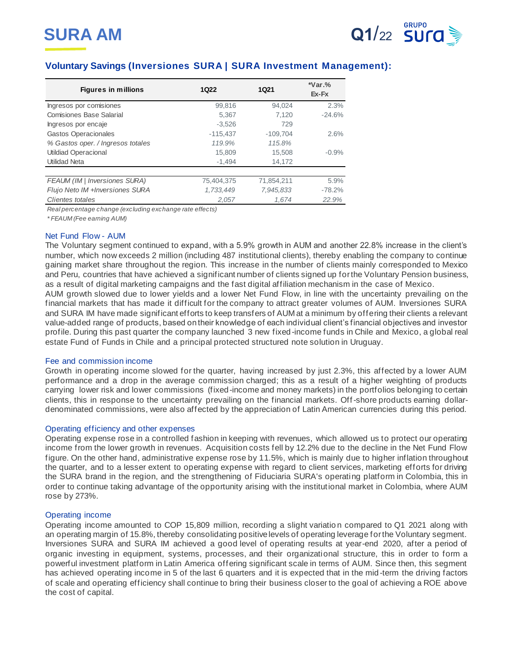

# **Voluntary Savings (Inversiones SURA | SURA Investment Management):**

| <b>Figures in millions</b>        | 1Q22       | 1Q21       | $*Var.$ %<br>Ex-Fx |
|-----------------------------------|------------|------------|--------------------|
| Ingresos por comisiones           | 99,816     | 94.024     | 2.3%               |
| <b>Comisiones Base Salarial</b>   | 5.367      | 7.120      | $-24.6%$           |
| Ingresos por encaje               | $-3.526$   | 729        |                    |
| Gastos Operacionales              | $-115.437$ | $-109.704$ | 2.6%               |
| % Gastos oper. / Ingresos totales | 119.9%     | 115.8%     |                    |
| <b>Utildiad Operacional</b>       | 15.809     | 15.508     | $-0.9%$            |
| <b>Utilidad Neta</b>              | $-1,494$   | 14,172     |                    |
|                                   |            |            |                    |
| FEAUM (IM   Inversiones SURA)     | 75,404,375 | 71,854,211 | 5.9%               |
| Flujo Neto IM +Inversiones SURA   | 1.733.449  | 7.945.833  | $-78.2%$           |
| Clientes totales                  | 2.057      | 1.674      | 22.9%              |

*Real percentage change (excluding exchange rate effects)*

*\* FEAUM (Fee earning AUM)*

#### Net Fund Flow - AUM

The Voluntary segment continued to expand, with a 5.9% growth in AUM and another 22.8% increase in the client's number, which now exceeds 2 million (including 487 institutional clients), thereby enabling the company to continue gaining market share throughout the region. This increase in the number of clients mainly corresponded to Mexico and Peru, countries that have achieved a significant number of clients signed up for the Voluntary Pension business, as a result of digital marketing campaigns and the fast digital affiliation mechanism in the case of Mexico.

AUM growth slowed due to lower yields and a lower Net Fund Flow, in line with the uncertainty prevailing on the financial markets that has made it difficult for the company to attract greater volumes of AUM. Inversiones SURA and SURA IM have made significant efforts to keep transfers of AUM at a minimum by offering their clients a relevant value-added range of products, based on their knowledge of each individual client's financial objectives and investor profile. During this past quarter the company launched 3 new fixed-income funds in Chile and Mexico, a global real estate Fund of Funds in Chile and a principal protected structured note solution in Uruguay.

#### Fee and commission income

Growth in operating income slowed for the quarter, having increased by just 2.3%, this affected by a lower AUM performance and a drop in the average commission charged; this as a result of a higher weighting of products carrying lower risk and lower commissions (fixed-income and money markets) in the portfolios belonging to certain clients, this in response to the uncertainty prevailing on the financial markets. Off-shore products earning dollardenominated commissions, were also affected by the appreciation of Latin American currencies during this period.

### Operating efficiency and other expenses

Operating expense rose in a controlled fashion in keeping with revenues, which allowed us to protect our operating income from the lower growth in revenues. Acquisition costs fell by 12.2% due to the decline in the Net Fund Flow figure. On the other hand, administrative expense rose by 11.5%, which is mainly due to higher inflation throughout the quarter, and to a lesser extent to operating expense with regard to client services, marketing efforts for driving the SURA brand in the region, and the strengthening of Fiduciaria SURA's operating platform in Colombia, this in order to continue taking advantage of the opportunity arising with the institutional market in Colombia, where AUM rose by 273%.

#### Operating income

Operating income amounted to COP 15,809 million, recording a slight variatio n compared to Q1 2021 along with an operating margin of 15.8%, thereby consolidating positive levels of operating leverage for the Voluntary segment. Inversiones SURA and SURA IM achieved a good level of operating results at year-end 2020, after a period of organic investing in equipment, systems, processes, and their organizational structure, this in order to form a powerful investment platform in Latin America offering significant scale in terms of AUM. Since then, this segment has achieved operating income in 5 of the last 6 quarters and it is expected that in the mid-term the driving factors of scale and operating efficiency shall continue to bring their business closer to the goal of achieving a ROE above the cost of capital.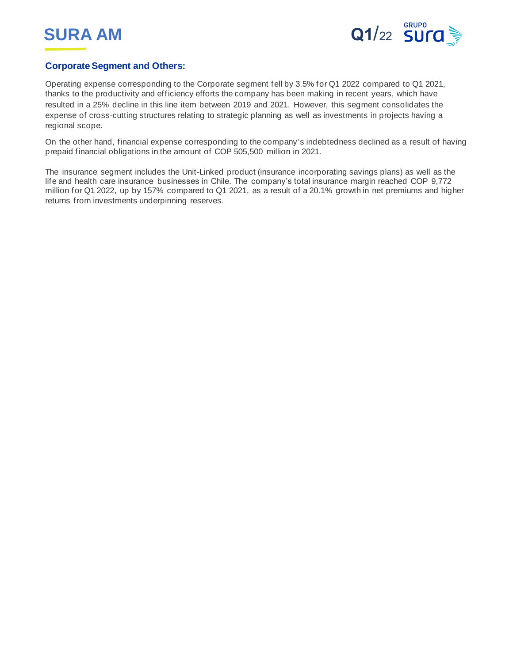



# **Corporate Segment and Others:**

Operating expense corresponding to the Corporate segment fell by 3.5% for Q1 2022 compared to Q1 2021, thanks to the productivity and efficiency efforts the company has been making in recent years, which have resulted in a 25% decline in this line item between 2019 and 2021. However, this segment consolidates the expense of cross-cutting structures relating to strategic planning as well as investments in projects having a regional scope.

On the other hand, financial expense corresponding to the company' s indebtedness declined as a result of having prepaid financial obligations in the amount of COP 505,500 million in 2021.

The insurance segment includes the Unit-Linked product (insurance incorporating savings plans) as well as the life and health care insurance businesses in Chile. The company's total insurance margin reached COP 9,772 million for Q1 2022, up by 157% compared to Q1 2021, as a result of a 20.1% growth in net premiums and higher returns from investments underpinning reserves.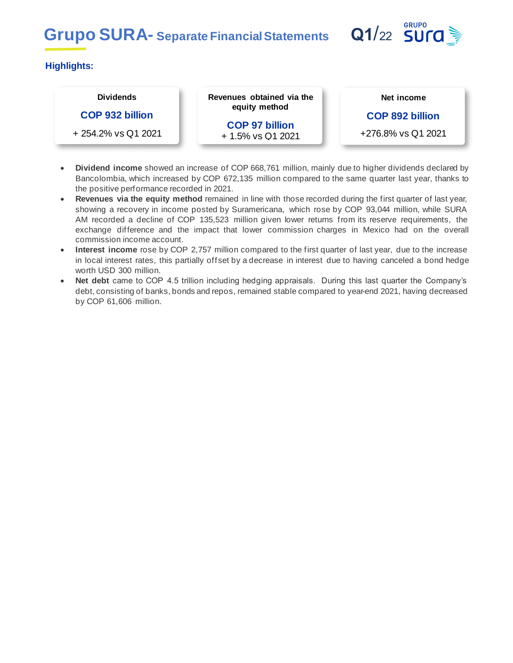# **Grupo SURA-** Separate Financial Statements **Q1/22 SUra**



# **Highlights:**

# **Dividends**

# **COP 932 billion**

+ 254.2% vs Q1 2021

**Revenues obtained via the equity method**

> **COP 97 billion** + 1.5% vs Q1 2021

**Net income**

**COP 892 billion**

+276.8% vs Q1 2021

- **Dividend income** showed an increase of COP 668,761 million, mainly due to higher dividends declared by Bancolombia, which increased by COP 672,135 million compared to the same quarter last year, thanks to the positive performance recorded in 2021.
- **Revenues via the equity method** remained in line with those recorded during the first quarter of last year, showing a recovery in income posted by Suramericana, which rose by COP 93,044 million, while SURA AM recorded a decline of COP 135,523 million given lower returns from its reserve requirements, the exchange difference and the impact that lower commission charges in Mexico had on the overall commission income account.
- **Interest income** rose by COP 2,757 million compared to the first quarter of last year, due to the increase in local interest rates, this partially offset by a decrease in interest due to having canceled a bond hedge worth USD 300 million.
- **Net debt** came to COP 4.5 trillion including hedging appraisals. During this last quarter the Company's debt, consisting of banks, bonds and repos, remained stable compared to year-end 2021, having decreased by COP 61,606 million.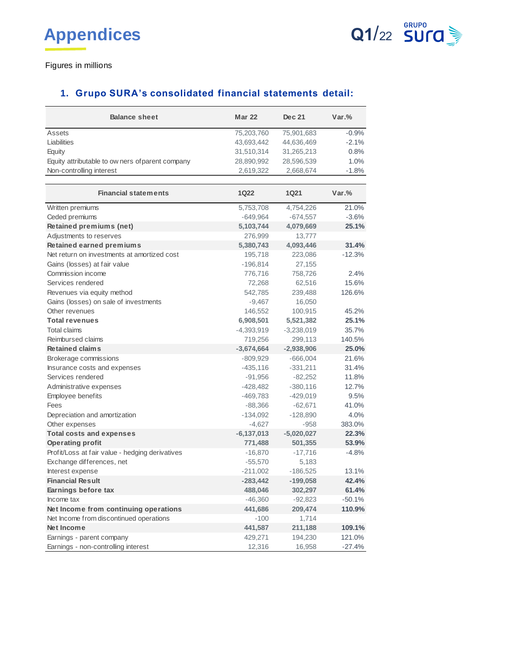

Figures in millions

# **1. Grupo SURA's consolidated financial statements detail:**

| <b>Balance sheet</b>                             | <b>Mar 22</b> | Dec 21      | $Var.$ % |
|--------------------------------------------------|---------------|-------------|----------|
| Assets                                           | 75,203,760    | 75,901,683  | $-0.9%$  |
| Liabilities                                      | 43,693,442    | 44,636,469  | $-2.1%$  |
| Equity                                           | 31,510,314    | 31,265,213  | 0.8%     |
| Equity attributable to ow ners of parent company | 28,890,992    | 28,596,539  | 1.0%     |
| Non-controlling interest                         | 2,619,322     | 2,668,674   | $-1.8%$  |
|                                                  |               |             |          |
| <b>Financial statements</b>                      | <b>1Q22</b>   | <b>1Q21</b> | $Var.$ % |
| Written premiums                                 | 5,753,708     | 4,754,226   | 21.0%    |
| Ceded premiums                                   | $-649,964$    | $-674,557$  | $-3.6%$  |
| Retained premiums (net)                          | 5,103,744     | 4,079,669   | 25.1%    |
| Adjustments to reserves                          |               |             |          |
|                                                  | 276,999       | 13,777      |          |

| Retained premiums (net)                         | 5,103,744    | 4,079,669    | 25.1%    |
|-------------------------------------------------|--------------|--------------|----------|
| Adjustments to reserves                         | 276,999      | 13,777       |          |
| <b>Retained earned premiums</b>                 | 5,380,743    | 4,093,446    | 31.4%    |
| Net return on investments at amortized cost     | 195,718      | 223,086      | $-12.3%$ |
| Gains (losses) at fair value                    | $-196,814$   | 27,155       |          |
| Commission income                               | 776,716      | 758,726      | 2.4%     |
| Services rendered                               | 72,268       | 62,516       | 15.6%    |
| Revenues via equity method                      | 542,785      | 239,488      | 126.6%   |
| Gains (losses) on sale of investments           | $-9,467$     | 16,050       |          |
| Other revenues                                  | 146,552      | 100,915      | 45.2%    |
| <b>Total revenues</b>                           | 6,908,501    | 5,521,382    | 25.1%    |
| <b>Total claims</b>                             | $-4,393,919$ | $-3,238,019$ | 35.7%    |
| Reimbursed claims                               | 719,256      | 299,113      | 140.5%   |
| <b>Retained claims</b>                          | $-3,674,664$ | $-2,938,906$ | 25.0%    |
| Brokerage commissions                           | $-809,929$   | $-666,004$   | 21.6%    |
| Insurance costs and expenses                    | $-435,116$   | $-331,211$   | 31.4%    |
| Services rendered                               | $-91,956$    | $-82,252$    | 11.8%    |
| Administrative expenses                         | $-428,482$   | $-380,116$   | 12.7%    |
| Employee benefits                               | $-469,783$   | $-429,019$   | 9.5%     |
| Fees                                            | $-88,366$    | $-62,671$    | 41.0%    |
| Depreciation and amortization                   | $-134,092$   | $-128,890$   | 4.0%     |
| Other expenses                                  | $-4,627$     | $-958$       | 383.0%   |
| <b>Total costs and expenses</b>                 | $-6,137,013$ | $-5,020,027$ | 22.3%    |
| <b>Operating profit</b>                         | 771,488      | 501,355      | 53.9%    |
| Profit/Loss at fair value - hedging derivatives | $-16,870$    | $-17,716$    | $-4.8%$  |
| Exchange differences, net                       | $-55,570$    | 5,183        |          |
| Interest expense                                | $-211,002$   | $-186,525$   | 13.1%    |
| <b>Financial Result</b>                         | $-283,442$   | $-199,058$   | 42.4%    |
| Earnings before tax                             | 488,046      | 302,297      | 61.4%    |
| Income tax                                      | $-46,360$    | $-92,823$    | $-50.1%$ |
| Net Income from continuing operations           | 441,686      | 209,474      | 110.9%   |
| Net Income from discontinued operations         | $-100$       | 1,714        |          |
| Net Income                                      | 441,587      | 211,188      | 109.1%   |
| Earnings - parent company                       | 429,271      | 194,230      | 121.0%   |
| Earnings - non-controlling interest             | 12,316       | 16,958       | $-27.4%$ |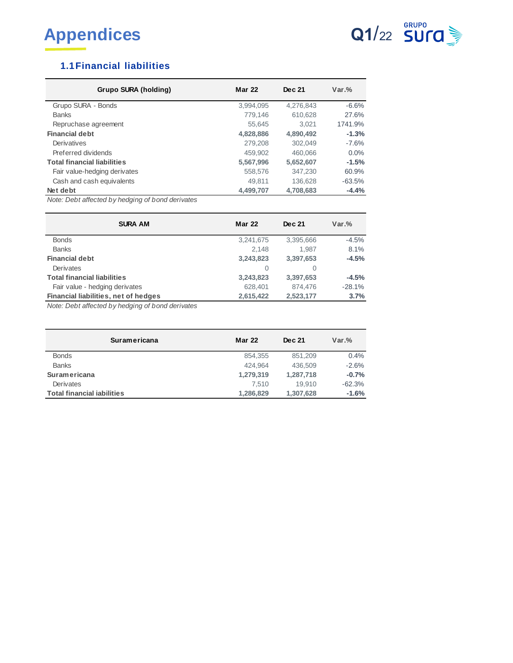



# **1.1Financial liabilities**

| Grupo SURA (holding)               | <b>Mar 22</b> | Dec 21    | $Var.$ % |
|------------------------------------|---------------|-----------|----------|
| Grupo SURA - Bonds                 | 3,994,095     | 4,276,843 | $-6.6%$  |
| <b>Banks</b>                       | 779.146       | 610,628   | 27.6%    |
| Repruchase agreement               | 55.645        | 3.021     | 1741.9%  |
| <b>Financial debt</b>              | 4,828,886     | 4,890,492 | $-1.3%$  |
| Derivatives                        | 279,208       | 302.049   | $-7.6%$  |
| Preferred dividends                | 459.902       | 460.066   | 0.0%     |
| <b>Total financial liabilities</b> | 5,567,996     | 5,652,607 | $-1.5%$  |
| Fair value-hedging derivates       | 558,576       | 347.230   | 60.9%    |
| Cash and cash equivalents          | 49.811        | 136.628   | $-63.5%$ |
| Net debt                           | 4,499,707     | 4,708,683 | $-4.4%$  |

*Note: Debt affected by hedging of bond derivates*

| <b>SURA AM</b>                       | <b>Mar 22</b> | Dec 21    | $Var.$ % |
|--------------------------------------|---------------|-----------|----------|
| <b>Bonds</b>                         | 3,241,675     | 3.395.666 | $-4.5%$  |
| <b>Banks</b>                         | 2.148         | 1.987     | 8.1%     |
| <b>Financial debt</b>                | 3,243,823     | 3,397,653 | $-4.5%$  |
| Derivates                            | O             | O         |          |
| <b>Total financial liabilities</b>   | 3,243,823     | 3.397.653 | $-4.5%$  |
| Fair value - hedging derivates       | 628,401       | 874.476   | $-28.1%$ |
| Financial liabilities, net of hedges | 2,615,422     | 2,523,177 | 3.7%     |

*Note: Debt affected by hedging of bond derivates*

| Suramericana                      | <b>Mar 22</b> | Dec 21    | $Var.$ % |
|-----------------------------------|---------------|-----------|----------|
| <b>Bonds</b>                      | 854.355       | 851.209   | 0.4%     |
| <b>Banks</b>                      | 424.964       | 436,509   | $-2.6%$  |
| <b>Suramericana</b>               | 1,279,319     | 1,287,718 | $-0.7%$  |
| Derivates                         | 7.510         | 19.910    | $-62.3%$ |
| <b>Total financial iabilities</b> | 1,286,829     | 1,307,628 | $-1.6%$  |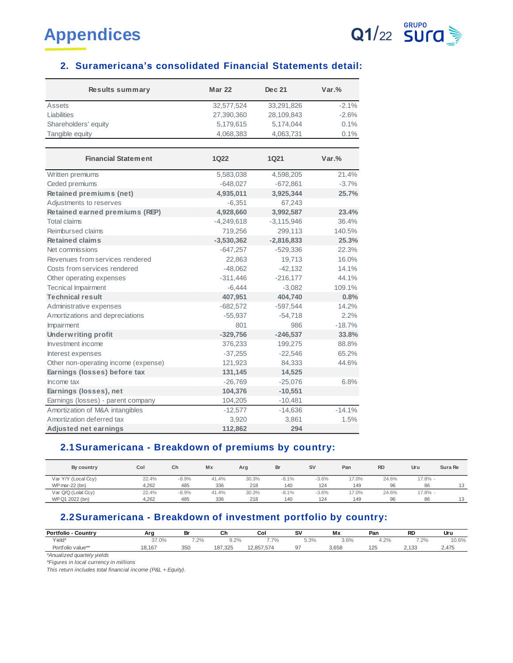

# **2. Suramericana's consolidated Financial Statements detail:**

| Results summary                      | <b>Mar 22</b> | Dec 21       | $Var.$ % |
|--------------------------------------|---------------|--------------|----------|
| Assets                               | 32,577,524    | 33,291,826   | $-2.1%$  |
| Liabilities                          | 27,390,360    | 28,109,843   | $-2.6%$  |
| Shareholders' equity                 | 5,179,615     | 5,174,044    | 0.1%     |
| Tangible equity                      | 4,068,383     | 4,063,731    | 0.1%     |
|                                      |               |              |          |
| <b>Financial Statement</b>           | 1022          | 1Q21         | $Var.$ % |
| Written premiums                     | 5,583,038     | 4,598,205    | 21.4%    |
| Ceded premiums                       | $-648,027$    | $-672,861$   | $-3.7%$  |
| <b>Retained premiums (net)</b>       | 4,935,011     | 3,925,344    | 25.7%    |
| Adjustments to reserves              | $-6,351$      | 67,243       |          |
| Retained earned premiums (REP)       | 4,928,660     | 3,992,587    | 23.4%    |
| Total claims                         | $-4,249,618$  | $-3,115,946$ | 36.4%    |
| Reimbursed claims                    | 719,256       | 299,113      | 140.5%   |
| <b>Retained claims</b>               | $-3,530,362$  | $-2,816,833$ | 25.3%    |
| Net commissions                      | $-647,257$    | $-529,336$   | 22.3%    |
| Revenues from services rendered      | 22,863        | 19,713       | 16.0%    |
| Costs from services rendered         | $-48,062$     | $-42,132$    | 14.1%    |
| Other operating expenses             | $-311,446$    | $-216,177$   | 44.1%    |
| <b>Tecnical Impairment</b>           | $-6,444$      | $-3,082$     | 109.1%   |
| <b>Technical result</b>              | 407,951       | 404,740      | 0.8%     |
| Administrative expenses              | $-682,572$    | $-597,544$   | 14.2%    |
| Amortizations and depreciations      | $-55,937$     | $-54,718$    | 2.2%     |
| Impairment                           | 801           | 986          | $-18.7%$ |
| <b>Underwriting profit</b>           | $-329,756$    | $-246,537$   | 33.8%    |
| Investment income                    | 376,233       | 199,275      | 88.8%    |
| Interest expenses                    | $-37,255$     | $-22,546$    | 65.2%    |
| Other non-operating income (expense) | 121,923       | 84,333       | 44.6%    |
| Earnings (losses) before tax         | 131,145       | 14,525       |          |
| Income tax                           | $-26,769$     | $-25,076$    | 6.8%     |
| Earnings (losses), net               | 104,376       | $-10,551$    |          |
| Earnings (losses) - parent company   | 104,205       | $-10,481$    |          |
| Amortization of M&A intangibles      | $-12,577$     | $-14,636$    | $-14.1%$ |
| A mortization deferred tax           | 3,920         | 3,861        | 1.5%     |
| <b>Adjusted net earnings</b>         | 112,862       | 294          |          |

# **2.1Suramericana - Breakdown of premiums by country:**

| Aujusteu net carmigs                                 |       |         |            | 1.14.044 | $-0T$   |           |       |           |            |         |
|------------------------------------------------------|-------|---------|------------|----------|---------|-----------|-------|-----------|------------|---------|
| 2.1 Suramericana - Breakdown of premiums by country: |       |         |            |          |         |           |       |           |            |         |
| By country                                           | Col   | Ch      | $M \times$ | Ara      | Br      | <b>SV</b> | Pan   | <b>RD</b> | Uru        | Sura Re |
| Var Y/Y (Local Ccy)                                  | 22.4% | $-8.9%$ | 41.4%      | 30.3%    | $-8.1%$ | $-3.6%$   | 17.0% | 24.6%     | $17.8\%$ - |         |
| $WP$ mar-22 (bn)                                     | 4.262 | 485     | 336        | 218      | 140     | 124       | 149   | 96        | 86         | 13      |
| Var Q/Q (Lolal Ccy)                                  | 22.4% | $-8.9%$ | 41.4%      | 30.3%    | $-8.1%$ | $-3.6%$   | 17.0% | 24.6%     | $17.8% -$  |         |
| WP Q1 2022 (bn)                                      | 4.262 | 485     | 336        | 218      | 140     | 124       | 149   | 96        | 86         | 13      |

# **2.2Suramericana - Breakdown of investment portfolio by country:**

| WP Q1 2022 (bn)                                                  | 4.262  | 485  | 336     | 218        | 140  | 124<br>149 | 96   | 86        |       |
|------------------------------------------------------------------|--------|------|---------|------------|------|------------|------|-----------|-------|
|                                                                  |        |      |         |            |      |            |      |           |       |
| 2.2 Suramericana - Breakdown of investment portfolio by country: |        |      |         |            |      |            |      |           |       |
|                                                                  |        |      |         |            |      |            |      |           |       |
| <b>Portfolio - Country</b>                                       | Ara    | Br   | Ch      | Col        | sv   | Mx         | Pan  | <b>RD</b> | Uru   |
| Yield*                                                           | 37.0%  | 7.2% | 9.2%    | 7.7%       | 5.3% | 3.6%       | 4.2% | 7.2%      | 10.6% |
| Portfolio value**                                                | 18.167 | 350  | 187.325 | 12.857.574 | 97   | 3.658      | 125  | 2.133     | 2.475 |
| $+4 - 1$ . The set of the set of $-1$ , $-1$ , $-1$ , $-1$       |        |      |         |            |      |            |      |           |       |

*\*Anualized quartely yields*

*\*Figures in local currency in millions*

*This return includes total financial income (P&L + Equity).*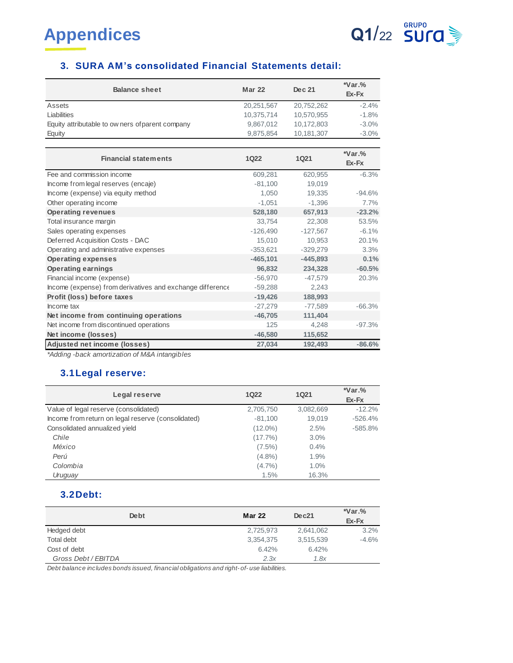

# **3. SURA AM's consolidated Financial Statements detail:**

| <b>Balance sheet</b>                             | <b>Mar 22</b> | Dec 21     | $*Var.$ %<br>Ex-Fx |
|--------------------------------------------------|---------------|------------|--------------------|
| Assets                                           | 20,251,567    | 20,752,262 | $-2.4%$            |
| Liabilities                                      | 10.375.714    | 10,570,955 | $-1.8%$            |
| Equity attributable to ow ners of parent company | 9.867.012     | 10.172.803 | $-3.0%$            |
| Equity                                           | 9,875,854     | 10,181,307 | $-3.0\%$           |

| <b>Financial statements</b>                               | <b>1Q22</b> | <b>1Q21</b> | $*Var.$ %<br>Ex-Fx |
|-----------------------------------------------------------|-------------|-------------|--------------------|
| Fee and commission income                                 | 609,281     | 620,955     | $-6.3%$            |
| Income from legal reserves (encaje)                       | $-81,100$   | 19,019      |                    |
| Income (expense) via equity method                        | 1,050       | 19,335      | $-94.6\%$          |
| Other operating income                                    | $-1.051$    | $-1.396$    | 7.7%               |
| <b>Operating revenues</b>                                 | 528,180     | 657,913     | $-23.2%$           |
| Total insurance margin                                    | 33,754      | 22,308      | 53.5%              |
| Sales operating expenses                                  | $-126,490$  | $-127,567$  | $-6.1%$            |
| Deferred Acquisition Costs - DAC                          | 15,010      | 10.953      | 20.1%              |
| Operating and administrative expenses                     | $-353,621$  | $-329,279$  | 3.3%               |
| <b>Operating expenses</b>                                 | $-465, 101$ | $-445,893$  | 0.1%               |
| <b>Operating earnings</b>                                 | 96,832      | 234,328     | $-60.5%$           |
| Financial income (expense)                                | $-56,970$   | $-47,579$   | 20.3%              |
| Income (expense) from derivatives and exchange difference | $-59,288$   | 2,243       |                    |
| Profit (loss) before taxes                                | $-19,426$   | 188,993     |                    |
| Income tax                                                | $-27,279$   | $-77,589$   | $-66.3%$           |
| Net income from continuing operations                     | $-46,705$   | 111,404     |                    |
| Net income from discontinued operations                   | 125         | 4,248       | $-97.3%$           |
| Net income (losses)                                       | $-46,580$   | 115,652     |                    |
| <b>Adjusted net income (losses)</b>                       | 27,034      | 192,493     | $-86.6%$           |

*\*Adding -back amortization of M&A intangibles*

# **3.1Legal reserve:**

| Legal reserve                                      | 1Q22       | <b>1Q21</b> | $*Var.$ %<br>Ex-Fx |
|----------------------------------------------------|------------|-------------|--------------------|
| Value of legal reserve (consolidated)              | 2,705,750  | 3,082,669   | $-12.2%$           |
| Income from return on legal reserve (consolidated) | $-81.100$  | 19.019      | $-526.4%$          |
| Consolidated annualized yield                      | $(12.0\%)$ | 2.5%        | $-585.8%$          |
| Chile                                              | $(17.7\%)$ | 3.0%        |                    |
| México                                             | $(7.5\%)$  | 0.4%        |                    |
| Perú                                               | $(4.8\%)$  | 1.9%        |                    |
| Colombia                                           | $(4.7\%)$  | 1.0%        |                    |
| Uruguay                                            | 1.5%       | 16.3%       |                    |

# **3.2Debt:**

| <b>De bt</b>        | <b>Mar 22</b> | Dec21     | $*Var.$ %<br>Ex-Fx |
|---------------------|---------------|-----------|--------------------|
| Hedged debt         | 2,725,973     | 2,641,062 | 3.2%               |
| Total debt          | 3,354,375     | 3,515,539 | $-4.6%$            |
| Cost of debt        | 6.42%         | 6.42%     |                    |
| Gross Debt / EBITDA | 2.3x          | 1.8x      |                    |

*Debt balance includes bonds issued, financial obligations and right- of- use liabilities.*